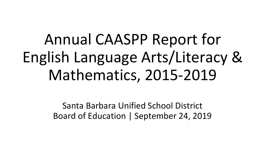Annual CAASPP Report for English Language Arts/Literacy & Mathematics, 2015-2019

> Santa Barbara Unified School District Board of Education | September 24, 2019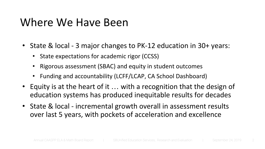# Where We Have Been

- State & local 3 major changes to PK-12 education in 30+ years:
	- State expectations for academic rigor (CCSS)
	- Rigorous assessment (SBAC) and equity in student outcomes
	- Funding and accountability (LCFF/LCAP, CA School Dashboard)
- Equity is at the heart of it ... with a recognition that the design of education systems has produced inequitable results for decades
- State & local incremental growth overall in assessment results over last 5 years, with pockets of acceleration and excellence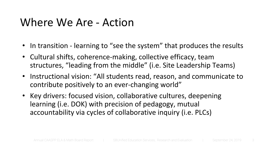# Where We Are - Action

- In transition learning to "see the system" that produces the results
- Cultural shifts, coherence-making, collective efficacy, team structures, "leading from the middle" (i.e. Site Leadership Teams)
- Instructional vision: "All students read, reason, and communicate to contribute positively to an ever-changing world"
- Key drivers: focused vision, collaborative cultures, deepening learning (i.e. DOK) with precision of pedagogy, mutual accountability via cycles of collaborative inquiry (i.e. PLCs)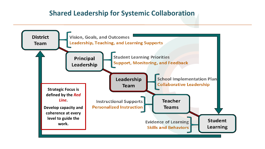### **Shared Leadership for Systemic Collaboration**

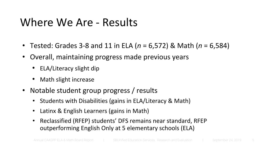# Where We Are - Results

- Tested: Grades 3-8 and 11 in ELA (*n* = 6,572) & Math (*n* = 6,584)
- Overall, maintaining progress made previous years
	- ELA/Literacy slight dip
	- Math slight increase
- Notable student group progress / results
	- Students with Disabilities (gains in ELA/Literacy & Math)
	- Latinx & English Learners (gains in Math)
	- Reclassified (RFEP) students' DFS remains near standard, RFEP outperforming English Only at 5 elementary schools (ELA)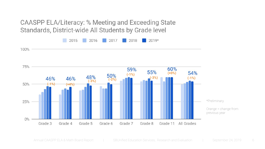CAASPP ELA/Literacy: % Meeting and Exceeding State Standards, District-wide All Students by Grade level

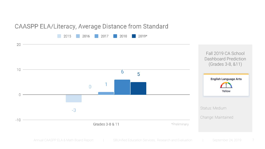#### CAASPP ELA/Literacy, Average Distance from Standard



Annual CAASPP ELA & Math Board Report | SBUnified Education Services, Research and Evaluation | September 24, 2019 7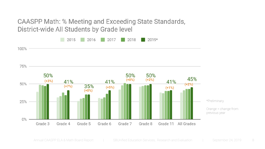CAASPP Math: % Meeting and Exceeding State Standards, District-wide All Students by Grade level

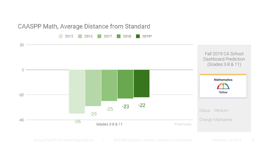#### CAASPP Math, Average Distance from Standard

2015 2016 2017 2018  $\Box$  2019\*

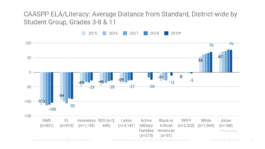# CAASPP ELA/Literacy: Average Distance from Standard, District-wide by Student Group, Grades 3-8 & 11

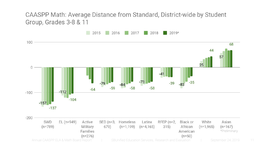#### CAASPP Math: Average Distance from Standard, District-wide by Student Group, Grades 3-8 & 11

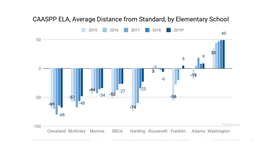### CAASPP ELA, Average Distance from Standard, by Elementary School

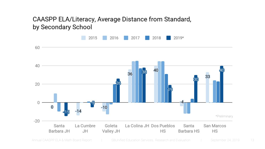### CAASPP ELA/Literacy, Average Distance from Standard, by Secondary School

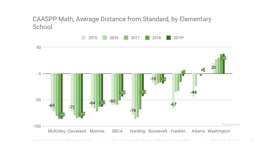CAASPP Math, Average Distance from Standard, by Elementary School

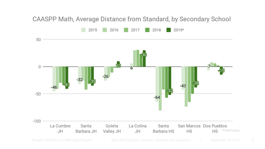# CAASPP Math, Average Distance from Standard, by Secondary School



Annual CAASPP ELA & Math Board Report | SBUnified Education Services, Research and Evaluation | September 24, 2019 15